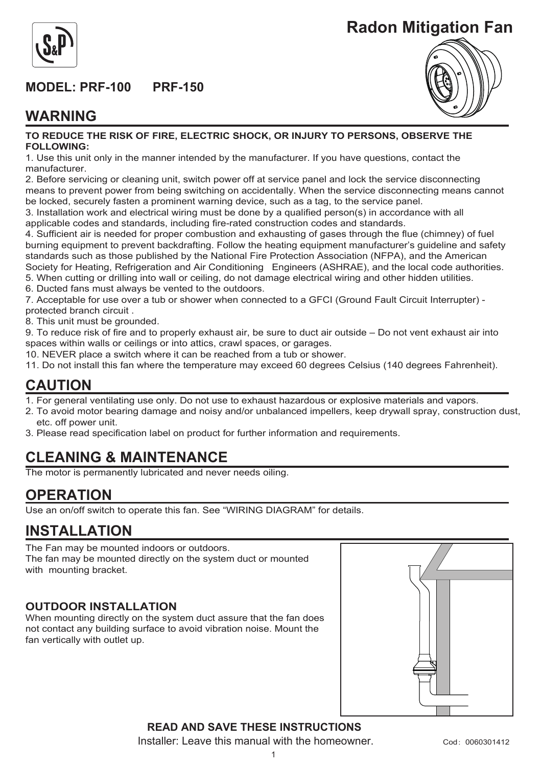

## **MODEL: PRF-100 PRF-150**



## **WARNING**



#### **TO REDUCE THE RISK OF FIRE, ELECTRIC SHOCK, OR INJURY TO PERSONS, OBSERVE THE FOLLOWING:**

1. Use this unit only in the manner intended by the manufacturer. If you have questions, contact the manufacturer.

2. Before servicing or cleaning unit, switch power off at service panel and lock the service disconnecting means to prevent power from being switching on accidentally. When the service disconnecting means cannot be locked, securely fasten a prominent warning device, such as a tag, to the service panel.

3. Installation work and electrical wiring must be done by a qualified person(s) in accordance with all applicable codes and standards, including fire-rated construction codes and standards.

4. Sufficient air is needed for proper combustion and exhausting of gases through the flue (chimney) of fuel burning equipment to prevent backdrafting. Follow the heating equipment manufacturer's guideline and safety standards such as those published by the National Fire Protection Association (NFPA), and the American Society for Heating, Refrigeration and Air Conditioning Engineers (ASHRAE), and the local code authorities. 5. When cutting or drilling into wall or ceiling, do not damage electrical wiring and other hidden utilities. 6. Ducted fans must always be vented to the outdoors.

7. Acceptable for use over a tub or shower when connected to a GFCI (Ground Fault Circuit Interrupter) protected branch circuit .

8. This unit must be grounded.

9. To reduce risk of fire and to properly exhaust air, be sure to duct air outside – Do not vent exhaust air into spaces within walls or ceilings or into attics, crawl spaces, or garages.

10. NEVER place a switch where it can be reached from a tub or shower.

11. Do not install this fan where the temperature may exceed 60 degrees Celsius (140 degrees Fahrenheit).

### **CAUTION**

- 1. For general ventilating use only. Do not use to exhaust hazardous or explosive materials and vapors.
- 2. To avoid motor bearing damage and noisy and/or unbalanced impellers, keep drywall spray, construction dust, etc. off power unit.
- 3. Please read specification label on product for further information and requirements.

## **CLEANING & MAINTENANCE**

The motor is permanently lubricated and never needs oiling.

### **OPERATION**

Use an on/off switch to operate this fan. See "WIRING DIAGRAM" for details.

### **INSTALLATION**

The Fan may be mounted indoors or outdoors. The fan may be mounted directly on the system duct or mounted with mounting bracket.

#### **OUTDOOR INSTALLATION**

When mounting directly on the system duct assure that the fan does not contact any building surface to avoid vibration noise. Mount the fan vertically with outlet up.



**READ AND SAVE THESE INSTRUCTIONS** Installer: Leave this manual with the homeowner.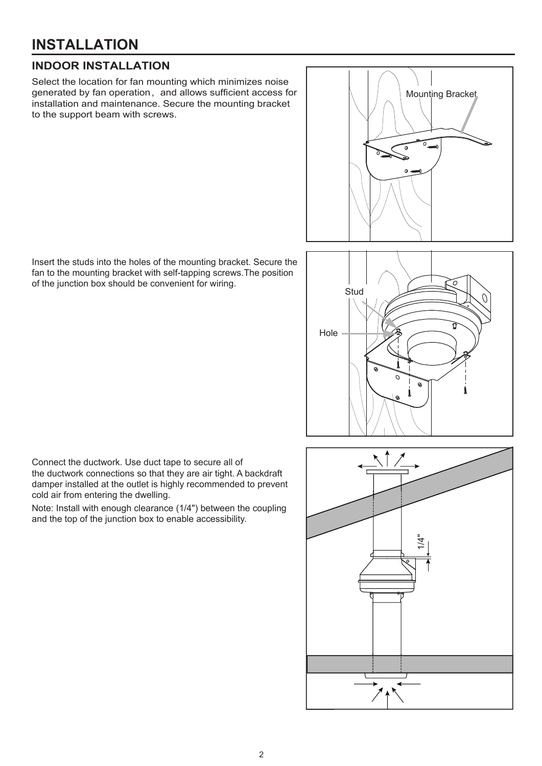# **INSTALLATION**

#### **INDOOR INSTALLATION**

Select the location for fan mounting which minimizes noise generated by fan operation, and allows sufficient access for installation and maintenance. Secure the mounting bracket to the support beam with screws.

Insert the studs into the holes of the mounting bracket. Secure the fan to the mounting bracket with self-tapping screws.The position of the junction box should be convenient for wiring.





Connect the ductwork. Use duct tape to secure all of the ductwork connections so that they are air tight. A backdraft damper installed at the outlet is highly recommended to prevent cold air from entering the dwelling.

Note: Install with enough clearance (1/4") between the coupling and the top of the junction box to enable accessibility.

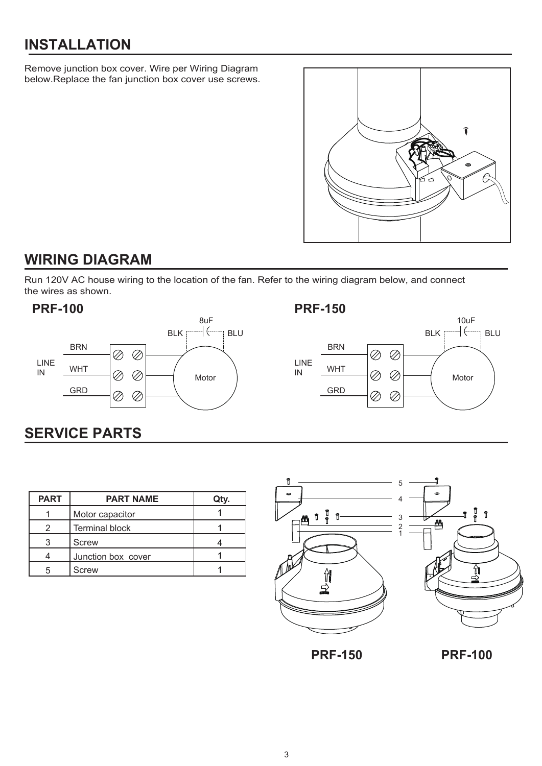# **INSTALLATION**

Remove junction box cover. Wire per Wiring Diagram below.Replace the fan junction box cover use screws.



## **WIRING DIAGRAM**

Run 120V AC house wiring to the location of the fan. Refer to the wiring diagram below, and connect the wires as shown.







# **SERVICE PARTS**

| <b>PART</b> | <b>PART NAME</b>      | Qty. |
|-------------|-----------------------|------|
|             | Motor capacitor       |      |
|             | <b>Terminal block</b> |      |
|             | Screw                 |      |
|             | Junction box cover    |      |
| 5           | <b>Screw</b>          |      |



**PRF-150 PRF-100**